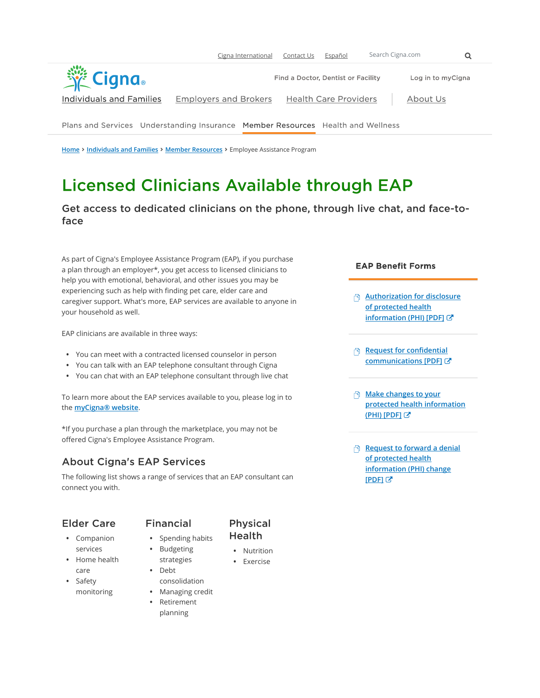

Home > Individuals and Families > Member Resources > Employee Assistance Program

# **Licensed Clinicians Available through EAP**

Get access to dedicated clinicians on the phone, through live chat, and face-toface

As part of Cigna's Employee Assistance Program (EAP), if you purchase a plan through an employer\*, you get access to licensed clinicians to help you with emotional, behavioral, and other issues you may be experiencing such as help with finding pet care, elder care and caregiver support. What's more, EAP services are available to anyone in your household as well.

EAP clinicians are available in three ways:

- You can meet with a contracted licensed counselor in person
- You can talk with an EAP telephone consultant through Cigna
- You can chat with an EAP telephone consultant through live chat

To learn more about the EAP services available to you, please log in to the **myCigna® website**.

\*If you purchase a plan through the marketplace, you may not be offered Cigna's Employee Assistance Program.

#### **About Cigna's EAP Services**

The following list shows a range of services that an EAP consultant can connect you with.

### **Elder Care** • Companion

services • Home health care • Safety monitoring

#### **Financial**

- Spending habits
	- Budgeting
		- strategies
		- Debt consolidation

• Nutrition • Exercise

**Physical** Health

- Managing credit
- Retirement planning

#### **EAP Benefit Forms**

- **Authorization for disclosure** of protected health information (PHI) [PDF] C
- Request for confidential communications [PDF]
- **Make changes to your** protected health information (PHI) [PDF]
- Request to forward a denial of protected health information (PHI) change [PDF] C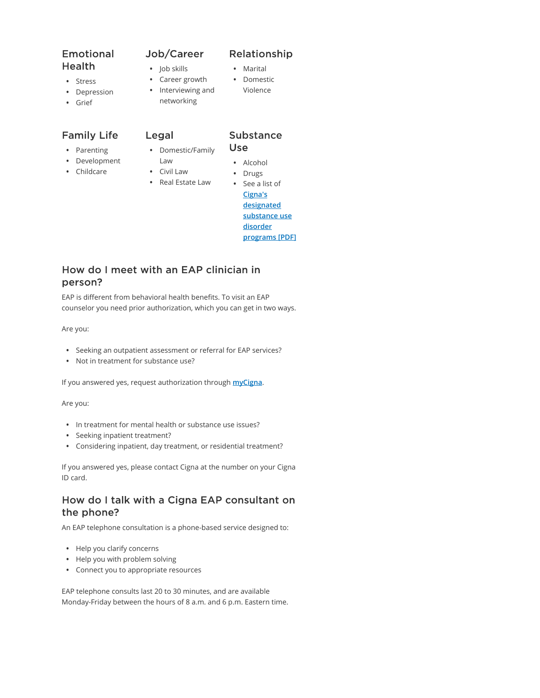## Emotional **Health**

- Stress
- Depression
- Grief

### **Family Life**

- Parenting
- Development
- Childcare
- Domestic/Family Law

Legal

• Job skills • Career growth • Interviewing and networking

Job/Career

- **Use**
- 
- Civil Law
- Alcohol • Drugs

Substance

- Real Estate Law
	- See a list of Cigna's designated substance use disorder programs [PDF]

### How do I meet with an EAP clinician in person?

EAP is different from behavioral health benefits. To visit an EAP counselor you need prior authorization, which you can get in two ways.

Are you:

- Seeking an outpatient assessment or referral for EAP services?
- Not in treatment for substance use?

If you answered yes, request authorization through *myCigna*.

Are you:

- In treatment for mental health or substance use issues?
- Seeking inpatient treatment?
- Considering inpatient, day treatment, or residential treatment?

If you answered yes, please contact Cigna at the number on your Cigna ID card.

#### How do I talk with a Cigna EAP consultant on the phone?

An EAP telephone consultation is a phone-based service designed to:

- Help you clarify concerns
- Help you with problem solving
- Connect you to appropriate resources

EAP telephone consults last 20 to 30 minutes, and are available Monday-Friday between the hours of 8 a.m. and 6 p.m. Eastern time.

#### Relationship

- Marital
- Domestic
- Violence
-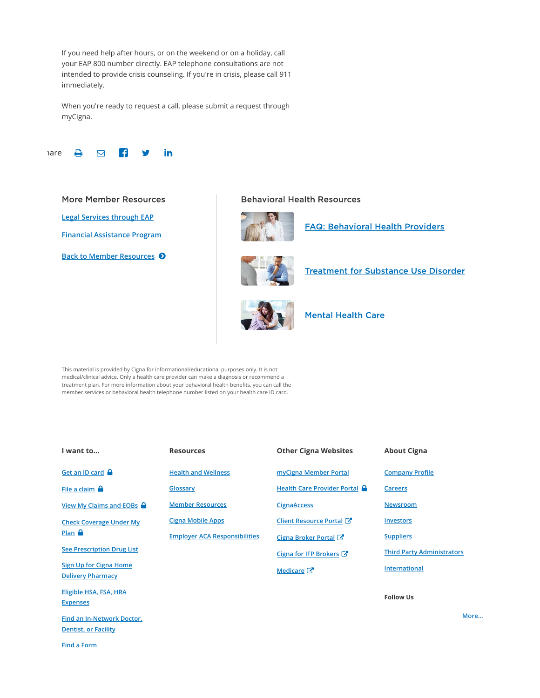If you need help after hours, or on the weekend or on a holiday, call your EAP 800 number directly. EAP telephone consultations are not intended to provide crisis counseling. If you're in crisis, please call 911 immediately.

When you're ready to request a call, please submit a request through myCigna.



#### **More Member Resources**

Legal Services through EAP

Financial Assistance Program

**Back to Member Resources ♦** 

#### **Behavioral Health Resources**



**FAQ: Behavioral Health Providers** 



**Treatment for Substance Use Disorder** 



**Mental Health Care** 

This material is provided by Cigna for informational/educational purposes only. It is not medical/clinical advice. Only a health care provider can make a diagnosis or recommend a treatment plan. For more information about your behavioral health benefits, you can call the member services or behavioral health telephone number listed on your health care ID card.

| I want to                                                 | <b>Resources</b>                     | <b>Other Cigna Websites</b>  | <b>About Cigna</b>                |  |
|-----------------------------------------------------------|--------------------------------------|------------------------------|-----------------------------------|--|
| Get an ID card                                            | <b>Health and Wellness</b>           | myCigna Member Portal        | <b>Company Profile</b>            |  |
| File a claim $\Box$                                       | Glossary                             | Health Care Provider Portal  | <b>Careers</b>                    |  |
| View My Claims and EOBs $\bigcap$                         | <b>Member Resources</b>              | <b>CignaAccess</b>           | <b>Newsroom</b>                   |  |
| <b>Check Coverage Under My</b><br>Plan $\bigcap$          | <b>Cigna Mobile Apps</b>             | Client Resource Portal C     | <b>Investors</b>                  |  |
|                                                           | <b>Employer ACA Responsibilities</b> | Cigna Broker Portal <b>■</b> | <b>Suppliers</b>                  |  |
| <b>See Prescription Drug List</b>                         |                                      | Cigna for IFP Brokers →      | <b>Third Party Administrators</b> |  |
| <b>Sign Up for Cigna Home</b><br><b>Delivery Pharmacy</b> |                                      | Medicare <sup>C</sup>        | <b>International</b>              |  |
| Eligible HSA, FSA, HRA<br><b>Expenses</b>                 |                                      |                              | <b>Follow Us</b>                  |  |
| Find an In-Network Doctor,                                |                                      |                              | N                                 |  |
| <b>Dentist, or Facility</b>                               |                                      |                              |                                   |  |

Find a Form

More...